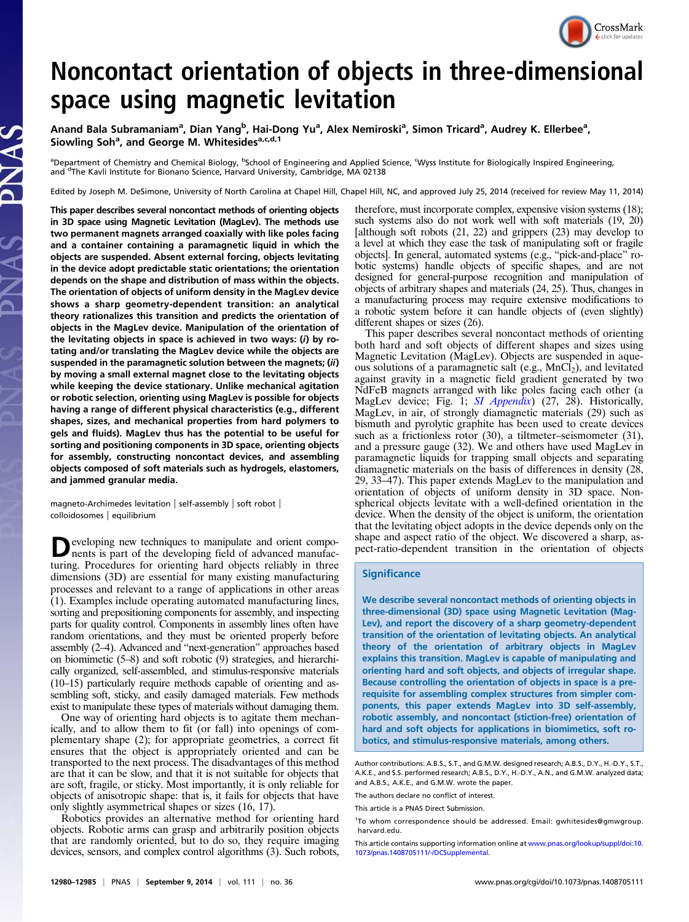

# Noncontact orientation of objects in three-dimensional space using magnetic levitation

Anand Bala Subramaniam<sup>a</sup>, Dian Yang<sup>b</sup>, Hai-Dong Yu<sup>a</sup>, Alex Nemiroski<sup>a</sup>, Simon Tricard<sup>a</sup>, Audrey K. Ellerbee<sup>a</sup>, Siowling Soh<sup>a</sup>, and George M. Whitesides<sup>a,c,d,1</sup>

<sup>a</sup>Department of Chemistry and Chemical Biology, <sup>b</sup>School of Engineering and Applied Science, <sup>c</sup>Wyss Institute for Biologically Inspired Engineering, and <sup>d</sup>The Kavli Institute for Bionano Science, Harvard University, Cambridge, MA 02138

Edited by Joseph M. DeSimone, University of North Carolina at Chapel Hill, Chapel Hill, NC, and approved July 25, 2014 (received for review May 11, 2014)

This paper describes several noncontact methods of orienting objects in 3D space using Magnetic Levitation (MagLev). The methods use two permanent magnets arranged coaxially with like poles facing and a container containing a paramagnetic liquid in which the objects are suspended. Absent external forcing, objects levitating in the device adopt predictable static orientations; the orientation depends on the shape and distribution of mass within the objects. The orientation of objects of uniform density in the MagLev device shows a sharp geometry-dependent transition: an analytical theory rationalizes this transition and predicts the orientation of objects in the MagLev device. Manipulation of the orientation of the levitating objects in space is achieved in two ways: (i) by rotating and/or translating the MagLev device while the objects are suspended in the paramagnetic solution between the magnets; (ii) by moving a small external magnet close to the levitating objects while keeping the device stationary. Unlike mechanical agitation or robotic selection, orienting using MagLev is possible for objects having a range of different physical characteristics (e.g., different shapes, sizes, and mechanical properties from hard polymers to gels and fluids). MagLev thus has the potential to be useful for sorting and positioning components in 3D space, orienting objects for assembly, constructing noncontact devices, and assembling objects composed of soft materials such as hydrogels, elastomers, and jammed granular media.

magneto-Archimedes levitation | self-assembly | soft robot | colloidosomes | equilibrium

Developing new techniques to manipulate and orient compo-nents is part of the developing field of advanced manufacturing. Procedures for orienting hard objects reliably in three dimensions (3D) are essential for many existing manufacturing processes and relevant to a range of applications in other areas (1). Examples include operating automated manufacturing lines, sorting and prepositioning components for assembly, and inspecting parts for quality control. Components in assembly lines often have random orientations, and they must be oriented properly before assembly (2–4). Advanced and "next-generation" approaches based on biomimetic (5–8) and soft robotic (9) strategies, and hierarchically organized, self-assembled, and stimulus-responsive materials (10–15) particularly require methods capable of orienting and assembling soft, sticky, and easily damaged materials. Few methods exist to manipulate these types of materials without damaging them.

One way of orienting hard objects is to agitate them mechanically, and to allow them to fit (or fall) into openings of complementary shape (2); for appropriate geometries, a correct fit ensures that the object is appropriately oriented and can be transported to the next process. The disadvantages of this method are that it can be slow, and that it is not suitable for objects that are soft, fragile, or sticky. Most importantly, it is only reliable for objects of anisotropic shape: that is, it fails for objects that have only slightly asymmetrical shapes or sizes (16, 17).

Robotics provides an alternative method for orienting hard objects. Robotic arms can grasp and arbitrarily position objects that are randomly oriented, but to do so, they require imaging devices, sensors, and complex control algorithms (3). Such robots,

therefore, must incorporate complex, expensive vision systems (18); such systems also do not work well with soft materials (19, 20) [although soft robots (21, 22) and grippers (23) may develop to a level at which they ease the task of manipulating soft or fragile objects]. In general, automated systems (e.g., "pick-and-place" robotic systems) handle objects of specific shapes, and are not designed for general-purpose recognition and manipulation of objects of arbitrary shapes and materials (24, 25). Thus, changes in a manufacturing process may require extensive modifications to a robotic system before it can handle objects of (even slightly) different shapes or sizes (26).

This paper describes several noncontact methods of orienting both hard and soft objects of different shapes and sizes using Magnetic Levitation (MagLev). Objects are suspended in aqueous solutions of a paramagnetic salt (e.g.,  $MnCl<sub>2</sub>$ ), and levitated against gravity in a magnetic field gradient generated by two NdFeB magnets arranged with like poles facing each other (a MagLev device; Fig. 1; [SI Appendix](http://www.pnas.org/lookup/suppl/doi:10.1073/pnas.1408705111/-/DCSupplemental/pnas.1408705111.sapp.pdf)) (27, 28). Historically, MagLev, in air, of strongly diamagnetic materials (29) such as bismuth and pyrolytic graphite has been used to create devices such as a frictionless rotor (30), a tiltmeter–seismometer (31), and a pressure gauge (32). We and others have used MagLev in paramagnetic liquids for trapping small objects and separating diamagnetic materials on the basis of differences in density (28, 29, 33–47). This paper extends MagLev to the manipulation and orientation of objects of uniform density in 3D space. Nonspherical objects levitate with a well-defined orientation in the device. When the density of the object is uniform, the orientation that the levitating object adopts in the device depends only on the shape and aspect ratio of the object. We discovered a sharp, aspect-ratio-dependent transition in the orientation of objects

#### **Significance**

We describe several noncontact methods of orienting objects in three-dimensional (3D) space using Magnetic Levitation (Mag-Lev), and report the discovery of a sharp geometry-dependent transition of the orientation of levitating objects. An analytical theory of the orientation of arbitrary objects in MagLev explains this transition. MagLev is capable of manipulating and orienting hard and soft objects, and objects of irregular shape. Because controlling the orientation of objects in space is a prerequisite for assembling complex structures from simpler components, this paper extends MagLev into 3D self-assembly, robotic assembly, and noncontact (stiction-free) orientation of hard and soft objects for applications in biomimetics, soft robotics, and stimulus-responsive materials, among others.

Author contributions: A.B.S., S.T., and G.M.W. designed research; A.B.S., D.Y., H.-D.Y., S.T., A.K.E., and S.S. performed research; A.B.S., D.Y., H.-D.Y., A.N., and G.M.W. analyzed data; and A.B.S., A.K.E., and G.M.W. wrote the paper.

The authors declare no conflict of interest.

This article is a PNAS Direct Submission.

<sup>&</sup>lt;sup>1</sup>To whom correspondence should be addressed. Email: [gwhitesides@gmwgroup.](mailto:gwhitesides@gmwgroup.harvard.edu) [harvard.edu.](mailto:gwhitesides@gmwgroup.harvard.edu)

This article contains supporting information online at [www.pnas.org/lookup/suppl/doi:10.](http://www.pnas.org/lookup/suppl/doi:10.1073/pnas.1408705111/-/DCSupplemental) [1073/pnas.1408705111/-/DCSupplemental.](http://www.pnas.org/lookup/suppl/doi:10.1073/pnas.1408705111/-/DCSupplemental)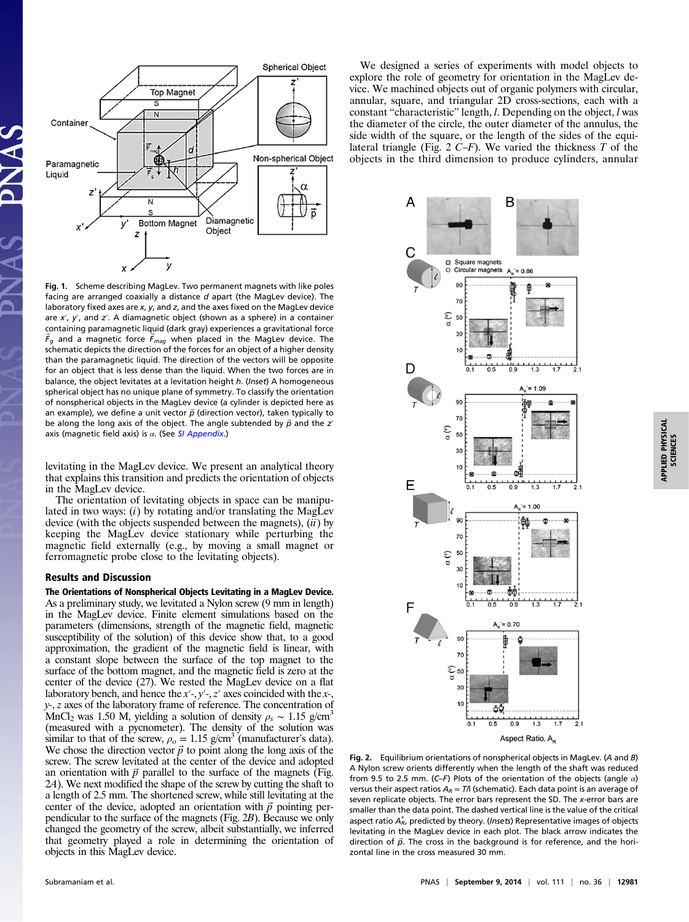

Fig. 1. Scheme describing MagLev. Two permanent magnets with like poles facing are arranged coaxially a distance d apart (the MagLev device). The laboratory fixed axes are x, y, and z, and the axes fixed on the MagLev device are  $x'$ ,  $y'$ , and  $z'$ . A diamagnetic object (shown as a sphere) in a container containing paramagnetic liquid (dark gray) experiences a gravitational force  $\vec{F}_g$  and a magnetic force  $\vec{F}_{mag}$  when placed in the MagLev device. The schematic depicts the direction of the forces for an object of a higher density than the paramagnetic liquid. The direction of the vectors will be opposite for an object that is less dense than the liquid. When the two forces are in balance, the object levitates at a levitation height h. (Inset) A homogeneous spherical object has no unique plane of symmetry. To classify the orientation of nonspherical objects in the MagLev device (a cylinder is depicted here as an example), we define a unit vector  $\vec{p}$  (direction vector), taken typically to be along the long axis of the object. The angle subtended by  $\vec{p}$  and the z' axis (magnetic field axis) is  $\alpha$ . (See [SI Appendix](http://www.pnas.org/lookup/suppl/doi:10.1073/pnas.1408705111/-/DCSupplemental/pnas.1408705111.sapp.pdf).)

levitating in the MagLev device. We present an analytical theory that explains this transition and predicts the orientation of objects in the MagLev device.

The orientation of levitating objects in space can be manipulated in two ways:  $(i)$  by rotating and/or translating the MagLev device (with the objects suspended between the magnets),  $(ii)$  by keeping the MagLev device stationary while perturbing the magnetic field externally (e.g., by moving a small magnet or ferromagnetic probe close to the levitating objects).

#### Results and Discussion

The Orientations of Nonspherical Objects Levitating in a MagLev Device. As a preliminary study, we levitated a Nylon screw (9 mm in length) in the MagLev device. Finite element simulations based on the parameters (dimensions, strength of the magnetic field, magnetic susceptibility of the solution) of this device show that, to a good approximation, the gradient of the magnetic field is linear, with a constant slope between the surface of the top magnet to the surface of the bottom magnet, and the magnetic field is zero at the center of the device (27). We rested the MagLev device on a flat laboratory bench, and hence the  $x'$ -,  $y'$ -,  $z'$  axes coincided with the  $x$ -, y-, z axes of the laboratory frame of reference. The concentration of MnCl<sub>2</sub> was 1.50 M, yielding a solution of density  $\rho_s \sim 1.15$  g/cm<sup>3</sup> (measured with a pycnometer). The density of the solution was similar to that of the screw,  $\rho_o = 1.15$  g/cm<sup>3</sup> (manufacturer's data). We chose the direction vector  $\vec{p}$  to point along the long axis of the screw. The screw levitated at the center of the device and adopted an orientation with  $\vec{p}$  parallel to the surface of the magnets (Fig. 2A). We next modified the shape of the screw by cutting the shaft to a length of 2.5 mm. The shortened screw, while still levitating at the center of the device, adopted an orientation with  $\vec{p}$  pointing perpendicular to the surface of the magnets (Fig. 2B). Because we only changed the geometry of the screw, albeit substantially, we inferred that geometry played a role in determining the orientation of objects in this MagLev device.

We designed a series of experiments with model objects to explore the role of geometry for orientation in the MagLev device. We machined objects out of organic polymers with circular, annular, square, and triangular 2D cross-sections, each with a constant "characteristic" length, l. Depending on the object, l was the diameter of the circle, the outer diameter of the annulus, the side width of the square, or the length of the sides of the equilateral triangle (Fig. 2  $C-F$ ). We varied the thickness T of the objects in the third dimension to produce cylinders, annular



Fig. 2. Equilibrium orientations of nonspherical objects in MagLev. (A and B) A Nylon screw orients differently when the length of the shaft was reduced from 9.5 to 2.5 mm. (C–F) Plots of the orientation of the objects (angle  $\alpha$ ) versus their aspect ratios  $A_R = 7$ /l (schematic). Each data point is an average of seven replicate objects. The error bars represent the SD. The x-error bars are smaller than the data point. The dashed vertical line is the value of the critical aspect ratio  $A_R^*$ , predicted by theory. (Insets) Representative images of objects levitating in the MagLev device in each plot. The black arrow indicates the direction of  $\vec{p}$ . The cross in the background is for reference, and the horizontal line in the cross measured 30 mm.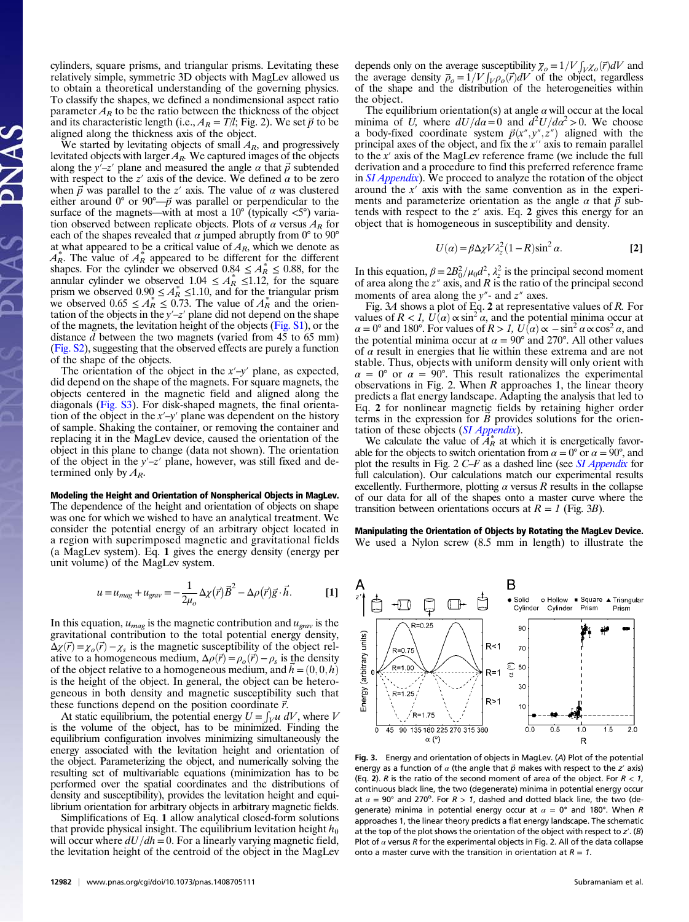cylinders, square prisms, and triangular prisms. Levitating these relatively simple, symmetric 3D objects with MagLev allowed us to obtain a theoretical understanding of the governing physics. To classify the shapes, we defined a nondimensional aspect ratio parameter  $A_R$  to be the ratio between the thickness of the object and its characteristic length (i.e.,  $A_R = T/l$ ; Fig. 2). We set  $\vec{p}$  to be aligned along the thickness axis of the object.

We started by levitating objects of small  $A_R$ , and progressively levitated objects with larger  $A_R$ . We captured images of the objects along the y'-z' plane and measured the angle  $\alpha$  that  $\vec{p}$  subtended with respect to the z' axis of the device. We defined  $\alpha$  to be zero when  $\vec{p}$  was parallel to the z' axis. The value of  $\alpha$  was clustered either around 0° or 90°— $\vec{p}$  was parallel or perpendicular to the surface of the magnets—with at most a  $10^{\circ}$  (typically  $\lt 5^{\circ}$ ) variation observed between replicate objects. Plots of  $\alpha$  versus  $A_R$  for each of the shapes revealed that  $\alpha$  jumped abruptly from 0 $\degree$  to 90 $\degree$ at what appeared to be a critical value of  $A_R$ , which we denote as  $A_R^*$ . The value of  $A_R^*$  appeared to be different for the different shapes. For the cylinder we observed  $0.84 \leq A_R^* \leq 0.88$ , for the annular cylinder we observed  $1.04 \leq A_R^* \leq 1.12$ , for the square prism we observed  $0.90 \leq A_R^* \leq 1.10$ , and for the triangular prism we observed  $0.65 \n\t\leq A_R^* \leq 0.73$ . The value of  $A_R^*$  and the orientation of the objects in the  $y'$ –z' plane did not depend on the shape of the magnets, the levitation height of the objects ([Fig. S1](http://www.pnas.org/lookup/suppl/doi:10.1073/pnas.1408705111/-/DCSupplemental/pnas.1408705111.sapp.pdf)), or the distance d between the two magnets (varied from 45 to 65 mm) [\(Fig. S2](http://www.pnas.org/lookup/suppl/doi:10.1073/pnas.1408705111/-/DCSupplemental/pnas.1408705111.sapp.pdf)), suggesting that the observed effects are purely a function of the shape of the objects.

The orientation of the object in the  $x'$ -y' plane, as expected, did depend on the shape of the magnets. For square magnets, the objects centered in the magnetic field and aligned along the diagonals [\(Fig. S3](http://www.pnas.org/lookup/suppl/doi:10.1073/pnas.1408705111/-/DCSupplemental/pnas.1408705111.sapp.pdf)). For disk-shaped magnets, the final orientation of the object in the  $x'$ –y' plane was dependent on the history of sample. Shaking the container, or removing the container and replacing it in the MagLev device, caused the orientation of the object in this plane to change (data not shown). The orientation of the object in the  $y'$ –z' plane, however, was still fixed and determined only by  $A_R$ .

Modeling the Height and Orientation of Nonspherical Objects in MagLev. The dependence of the height and orientation of objects on shape was one for which we wished to have an analytical treatment. We consider the potential energy of an arbitrary object located in a region with superimposed magnetic and gravitational fields (a MagLev system). Eq. 1 gives the energy density (energy per unit volume) of the MagLev system.

$$
u = u_{mag} + u_{grav} = -\frac{1}{2\mu_o} \Delta \chi(\vec{r}) \vec{B}^2 - \Delta \rho(\vec{r}) \vec{g} \cdot \vec{h}.
$$
 [1]

In this equation,  $u_{mag}$  is the magnetic contribution and  $u_{grav}$  is the gravitational contribution to the total potential energy density,  $\Delta \chi(\vec{r}) = \chi_o(\vec{r}) - \chi_s$  is the magnetic susceptibility of the object relative to a homogeneous medium,  $\Delta \rho(\vec{r}) = \rho_o(\vec{r}) - \rho_s$  is the density of the object relative to a homogeneous medium, and  $h = (0, 0, h)$ is the height of the object. In general, the object can be heterogeneous in both density and magnetic susceptibility such that these functions depend on the position coordinate  $\vec{r}$ .

At static equilibrium, the potential energy  $U = \int_V u \, dV$ , where V is the volume of the object, has to be minimized. Finding the equilibrium configuration involves minimizing simultaneously the energy associated with the levitation height and orientation of the object. Parameterizing the object, and numerically solving the resulting set of multivariable equations (minimization has to be performed over the spatial coordinates and the distributions of density and susceptibility), provides the levitation height and equilibrium orientation for arbitrary objects in arbitrary magnetic fields.

Simplifications of Eq. 1 allow analytical closed-form solutions that provide physical insight. The equilibrium levitation height  $h_0$ will occur where  $dU/dh=0$ . For a linearly varying magnetic field, the levitation height of the centroid of the object in the MagLev

12982 <sup>|</sup> <www.pnas.org/cgi/doi/10.1073/pnas.1408705111> Subramaniam et al.

depends only on the average susceptibility  $\bar{\chi}_o = 1/V \int_V \chi_o(\vec{r}) dV$  and the average density  $\overline{\rho}_o = 1/V \int_V \rho_o(\vec{r}) dV$  of the object, regardless of the shape and the distribution of the heterogeneities within the object.

The equilibrium orientation(s) at angle  $\alpha$  will occur at the local minima of U, where  $dU/d\alpha = 0$  and  $d^2U/d\alpha^2 > 0$ . We choose a body-fixed coordinate system  $\vec{p}(x'',y'',z'')$  aligned with the principal axes of the object, and fix the  $x''$  axis to remain parallel to the x′ axis of the MagLev reference frame (we include the full derivation and a procedure to find this preferred reference frame in [SI Appendix](http://www.pnas.org/lookup/suppl/doi:10.1073/pnas.1408705111/-/DCSupplemental/pnas.1408705111.sapp.pdf)). We proceed to analyze the rotation of the object around the  $x'$  axis with the same convention as in the experiments and parameterize orientation as the angle  $\alpha$  that  $\vec{p}$  subtends with respect to the  $z'$  axis. Eq. 2 gives this energy for an object that is homogeneous in susceptibility and density.

$$
U(\alpha) = \beta \Delta \chi V \lambda_z^2 (1 - R) \sin^2 \alpha.
$$
 [2]

In this equation,  $\beta = 2B_0^2/\mu_0 d^2$ ,  $\lambda_z^2$  is the principal second moment of area along the  $z''$  axis, and R is the ratio of the principal second moments of area along the  $y''$ - and  $z''$  axes.

Fig. 3A shows a plot of Eq. 2 at representative values of R. For values of  $R < 1$ ,  $U(\alpha) \propto \sin^2 \alpha$ , and the potential minima occur at  $\alpha = 0^{\circ}$  and 180°. For values of  $R > 1$ ,  $U(\alpha) \propto -\sin^2 \alpha \propto \cos^2 \alpha$ , and the potential minima occur at  $\alpha = 90^{\circ}$  and 270°. All other values of  $\alpha$  result in energies that lie within these extrema and are not stable. Thus, objects with uniform density will only orient with  $\alpha = 0^{\circ}$  or  $\alpha = 90^{\circ}$ . This result rationalizes the experimental observations in Fig. 2. When  $R$  approaches 1, the linear theory predicts a flat energy landscape. Adapting the analysis that led to Eq. 2 for nonlinear magnetic fields by retaining higher order terms in the expression for  $\vec{B}$  provides solutions for the orientation of these objects  $(SI$  *Appendix*).

We calculate the value of  $\overrightarrow{A_R}$  at which it is energetically favorable for the objects to switch orientation from  $\alpha = 0^{\circ}$  or  $\alpha = 90^{\circ}$ , and plot the results in Fig. 2 C–F as a dashed line (see [SI Appendix](http://www.pnas.org/lookup/suppl/doi:10.1073/pnas.1408705111/-/DCSupplemental/pnas.1408705111.sapp.pdf) for full calculation). Our calculations match our experimental results excellently. Furthermore, plotting  $\alpha$  versus R results in the collapse of our data for all of the shapes onto a master curve where the transition between orientations occurs at  $R = 1$  (Fig. 3B).

Manipulating the Orientation of Objects by Rotating the MagLev Device. We used a Nylon screw (8.5 mm in length) to illustrate the

Β



Fig. 3. Energy and orientation of objects in MagLev. (A) Plot of the potential energy as a function of  $\alpha$  (the angle that  $\vec{p}$  makes with respect to the z' axis) (Eq. 2). R is the ratio of the second moment of area of the object. For  $R < 1$ , continuous black line, the two (degenerate) minima in potential energy occur at  $\alpha = 90^{\circ}$  and 270°. For  $R > 1$ , dashed and dotted black line, the two (degenerate) minima in potential energy occur at  $\alpha = 0^{\circ}$  and 180°. When R approaches 1, the linear theory predicts a flat energy landscape. The schematic at the top of the plot shows the orientation of the object with respect to z'. (B) Plot of  $\alpha$  versus R for the experimental objects in Fig. 2. All of the data collapse onto a master curve with the transition in orientation at  $R = 1$ .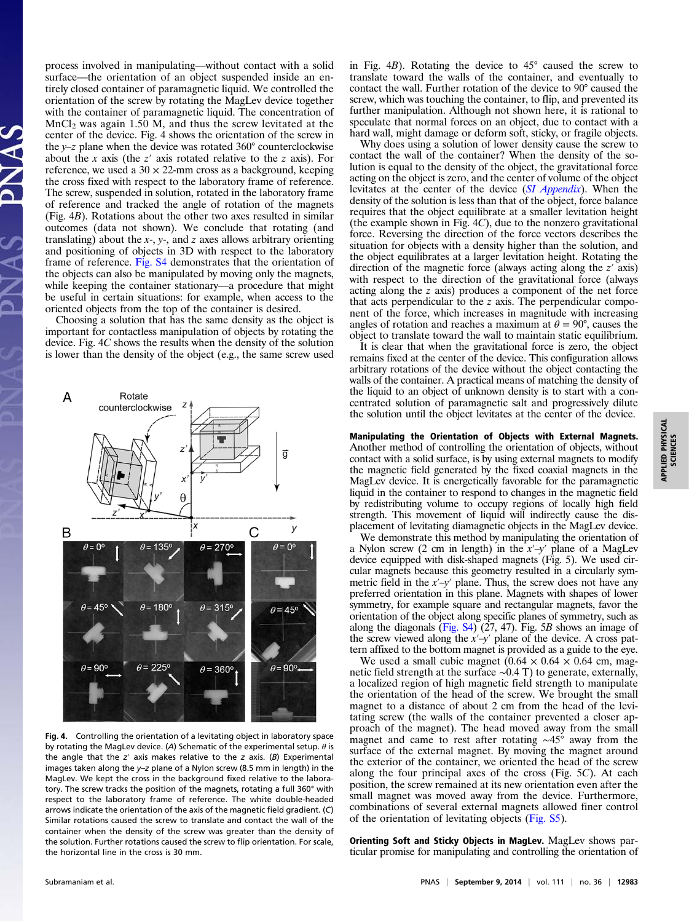process involved in manipulating—without contact with a solid surface—the orientation of an object suspended inside an entirely closed container of paramagnetic liquid. We controlled the orientation of the screw by rotating the MagLev device together with the container of paramagnetic liquid. The concentration of  $MnCl<sub>2</sub>$  was again 1.50 M, and thus the screw levitated at the center of the device. Fig. 4 shows the orientation of the screw in the y–z plane when the device was rotated 360° counterclockwise about the x axis (the  $z'$  axis rotated relative to the  $z$  axis). For reference, we used a  $30 \times 22$ -mm cross as a background, keeping the cross fixed with respect to the laboratory frame of reference. The screw, suspended in solution, rotated in the laboratory frame of reference and tracked the angle of rotation of the magnets (Fig. 4B). Rotations about the other two axes resulted in similar outcomes (data not shown). We conclude that rotating (and translating) about the  $x$ -,  $y$ -, and  $z$  axes allows arbitrary orienting and positioning of objects in 3D with respect to the laboratory frame of reference. [Fig. S4](http://www.pnas.org/lookup/suppl/doi:10.1073/pnas.1408705111/-/DCSupplemental/pnas.1408705111.sapp.pdf) demonstrates that the orientation of the objects can also be manipulated by moving only the magnets, while keeping the container stationary—a procedure that might be useful in certain situations: for example, when access to the oriented objects from the top of the container is desired.

Choosing a solution that has the same density as the object is important for contactless manipulation of objects by rotating the device. Fig. 4C shows the results when the density of the solution is lower than the density of the object (e.g., the same screw used



Fig. 4. Controlling the orientation of a levitating object in laboratory space by rotating the MagLev device. (A) Schematic of the experimental setup.  $\theta$  is the angle that the  $z'$  axis makes relative to the  $z$  axis. (B) Experimental images taken along the y–z plane of a Nylon screw (8.5 mm in length) in the MagLev. We kept the cross in the background fixed relative to the laboratory. The screw tracks the position of the magnets, rotating a full 360° with respect to the laboratory frame of reference. The white double-headed arrows indicate the orientation of the axis of the magnetic field gradient. (C) Similar rotations caused the screw to translate and contact the wall of the container when the density of the screw was greater than the density of the solution. Further rotations caused the screw to flip orientation. For scale, the horizontal line in the cross is 30 mm.

in Fig.  $4B$ ). Rotating the device to  $45^\circ$  caused the screw to translate toward the walls of the container, and eventually to contact the wall. Further rotation of the device to 90° caused the screw, which was touching the container, to flip, and prevented its further manipulation. Although not shown here, it is rational to speculate that normal forces on an object, due to contact with a hard wall, might damage or deform soft, sticky, or fragile objects.

Why does using a solution of lower density cause the screw to contact the wall of the container? When the density of the solution is equal to the density of the object, the gravitational force acting on the object is zero, and the center of volume of the object levitates at the center of the device ([SI Appendix](http://www.pnas.org/lookup/suppl/doi:10.1073/pnas.1408705111/-/DCSupplemental/pnas.1408705111.sapp.pdf)). When the density of the solution is less than that of the object, force balance requires that the object equilibrate at a smaller levitation height (the example shown in Fig. 4C), due to the nonzero gravitational force. Reversing the direction of the force vectors describes the situation for objects with a density higher than the solution, and the object equilibrates at a larger levitation height. Rotating the direction of the magnetic force (always acting along the z′ axis) with respect to the direction of the gravitational force (always acting along the z axis) produces a component of the net force that acts perpendicular to the z axis. The perpendicular component of the force, which increases in magnitude with increasing angles of rotation and reaches a maximum at  $\theta = 90^{\circ}$ , causes the object to translate toward the wall to maintain static equilibrium.

It is clear that when the gravitational force is zero, the object remains fixed at the center of the device. This configuration allows arbitrary rotations of the device without the object contacting the walls of the container. A practical means of matching the density of the liquid to an object of unknown density is to start with a concentrated solution of paramagnetic salt and progressively dilute the solution until the object levitates at the center of the device.

Manipulating the Orientation of Objects with External Magnets. Another method of controlling the orientation of objects, without contact with a solid surface, is by using external magnets to modify the magnetic field generated by the fixed coaxial magnets in the MagLev device. It is energetically favorable for the paramagnetic liquid in the container to respond to changes in the magnetic field by redistributing volume to occupy regions of locally high field strength. This movement of liquid will indirectly cause the displacement of levitating diamagnetic objects in the MagLev device.

We demonstrate this method by manipulating the orientation of a Nylon screw (2 cm in length) in the  $x'$ -y' plane of a MagLev device equipped with disk-shaped magnets (Fig. 5). We used circular magnets because this geometry resulted in a circularly symmetric field in the  $x'$ –y' plane. Thus, the screw does not have any preferred orientation in this plane. Magnets with shapes of lower symmetry, for example square and rectangular magnets, favor the orientation of the object along specific planes of symmetry, such as along the diagonals  $(Fig. S4)$  $(Fig. S4)$  (27, 47). Fig. 5B shows an image of the screw viewed along the  $x'$ –y' plane of the device. A cross pattern affixed to the bottom magnet is provided as a guide to the eye.

We used a small cubic magnet  $(0.64 \times 0.64 \times 0.64 \text{ cm}, \text{mag}$ netic field strength at the surface ∼0.4 T) to generate, externally, a localized region of high magnetic field strength to manipulate the orientation of the head of the screw. We brought the small magnet to a distance of about 2 cm from the head of the levitating screw (the walls of the container prevented a closer approach of the magnet). The head moved away from the small magnet and came to rest after rotating ∼45° away from the surface of the external magnet. By moving the magnet around the exterior of the container, we oriented the head of the screw along the four principal axes of the cross (Fig. 5C). At each position, the screw remained at its new orientation even after the small magnet was moved away from the device. Furthermore, combinations of several external magnets allowed finer control of the orientation of levitating objects [\(Fig. S5](http://www.pnas.org/lookup/suppl/doi:10.1073/pnas.1408705111/-/DCSupplemental/pnas.1408705111.sapp.pdf)).

Orienting Soft and Sticky Objects in MagLev. MagLev shows particular promise for manipulating and controlling the orientation of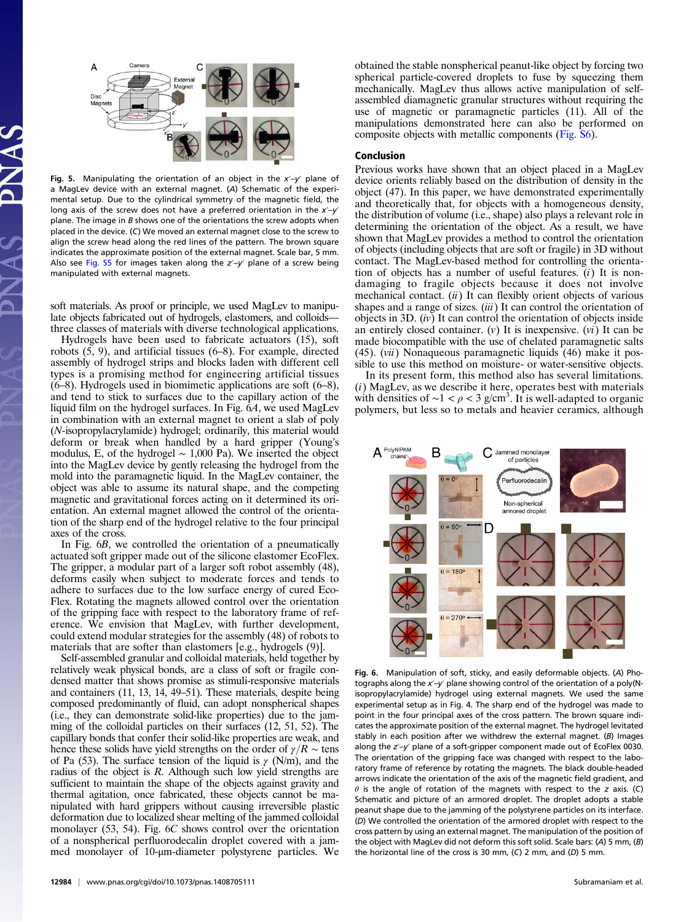

Fig. 5. Manipulating the orientation of an object in the  $x'-y'$  plane of a MagLev device with an external magnet. (A) Schematic of the experimental setup. Due to the cylindrical symmetry of the magnetic field, the long axis of the screw does not have a preferred orientation in the  $x'-y'$ plane. The image in  $B$  shows one of the orientations the screw adopts when placed in the device. (C) We moved an external magnet close to the screw to align the screw head along the red lines of the pattern. The brown square indicates the approximate position of the external magnet. Scale bar, 5 mm. Also see [Fig. S5](http://www.pnas.org/lookup/suppl/doi:10.1073/pnas.1408705111/-/DCSupplemental/pnas.1408705111.sapp.pdf) for images taken along the  $z'$ –y' plane of a screw being manipulated with external magnets.

soft materials. As proof or principle, we used MagLev to manipulate objects fabricated out of hydrogels, elastomers, and colloids three classes of materials with diverse technological applications.

Hydrogels have been used to fabricate actuators (15), soft robots (5, 9), and artificial tissues (6–8). For example, directed assembly of hydrogel strips and blocks laden with different cell types is a promising method for engineering artificial tissues (6–8). Hydrogels used in biomimetic applications are soft (6–8), and tend to stick to surfaces due to the capillary action of the liquid film on the hydrogel surfaces. In Fig.  $\bar{6}A$ , we used MagLev in combination with an external magnet to orient a slab of poly (N-isopropylacrylamide) hydrogel; ordinarily, this material would deform or break when handled by a hard gripper (Young's modulus, E, of the hydrogel  $\sim$  1,000 Pa). We inserted the object into the MagLev device by gently releasing the hydrogel from the mold into the paramagnetic liquid. In the MagLev container, the object was able to assume its natural shape, and the competing magnetic and gravitational forces acting on it determined its orientation. An external magnet allowed the control of the orientation of the sharp end of the hydrogel relative to the four principal axes of the cross.

In Fig. 6B, we controlled the orientation of a pneumatically actuated soft gripper made out of the silicone elastomer EcoFlex. The gripper, a modular part of a larger soft robot assembly (48), deforms easily when subject to moderate forces and tends to adhere to surfaces due to the low surface energy of cured Eco-Flex. Rotating the magnets allowed control over the orientation of the gripping face with respect to the laboratory frame of reference. We envision that MagLev, with further development, could extend modular strategies for the assembly (48) of robots to materials that are softer than elastomers [e.g., hydrogels (9)].

Self-assembled granular and colloidal materials, held together by relatively weak physical bonds, are a class of soft or fragile condensed matter that shows promise as stimuli-responsive materials and containers (11, 13, 14, 49–51). These materials, despite being composed predominantly of fluid, can adopt nonspherical shapes (i.e., they can demonstrate solid-like properties) due to the jamming of the colloidal particles on their surfaces (12, 51, 52). The capillary bonds that confer their solid-like properties are weak, and hence these solids have yield strengths on the order of  $\gamma/R \sim$  tens of Pa (53). The surface tension of the liquid is  $\gamma$  (N/m), and the radius of the object is  $R$ . Although such low yield strengths are sufficient to maintain the shape of the objects against gravity and thermal agitation, once fabricated, these objects cannot be manipulated with hard grippers without causing irreversible plastic deformation due to localized shear melting of the jammed colloidal monolayer (53, 54). Fig. 6C shows control over the orientation of a nonspherical perfluorodecalin droplet covered with a jammed monolayer of 10-μm-diameter polystyrene particles. We

obtained the stable nonspherical peanut-like object by forcing two spherical particle-covered droplets to fuse by squeezing them mechanically. MagLev thus allows active manipulation of selfassembled diamagnetic granular structures without requiring the use of magnetic or paramagnetic particles (11). All of the manipulations demonstrated here can also be performed on composite objects with metallic components [\(Fig. S6\)](http://www.pnas.org/lookup/suppl/doi:10.1073/pnas.1408705111/-/DCSupplemental/pnas.1408705111.sapp.pdf).

### Conclusion

Previous works have shown that an object placed in a MagLev device orients reliably based on the distribution of density in the object (47). In this paper, we have demonstrated experimentally and theoretically that, for objects with a homogeneous density, the distribution of volume (i.e., shape) also plays a relevant role in determining the orientation of the object. As a result, we have shown that MagLev provides a method to control the orientation of objects (including objects that are soft or fragile) in 3D without contact. The MagLev-based method for controlling the orientation of objects has a number of useful features.  $(i)$  It is nondamaging to fragile objects because it does not involve mechanical contact.  $(ii)$  It can flexibly orient objects of various shapes and a range of sizes. (iii) It can control the orientation of objects in 3D.  $(iv)$  It can control the orientation of objects inside an entirely closed container.  $(v)$  It is inexpensive.  $(vi)$  It can be made biocompatible with the use of chelated paramagnetic salts (45). (vii) Nonaqueous paramagnetic liquids (46) make it possible to use this method on moisture- or water-sensitive objects.

In its present form, this method also has several limitations. (*i*) MagLev, as we describe it here, operates best with materials with densities of ~1 <  $\rho$  < 3 g/cm<sup>3</sup>. It is well-adapted to organic polymers, but less so to metals and heavier ceramics, although



Fig. 6. Manipulation of soft, sticky, and easily deformable objects. (A) Photographs along the  $x'$ – $y'$  plane showing control of the orientation of a poly(Nisopropylacrylamide) hydrogel using external magnets. We used the same experimental setup as in Fig. 4. The sharp end of the hydrogel was made to point in the four principal axes of the cross pattern. The brown square indicates the approximate position of the external magnet. The hydrogel levitated stably in each position after we withdrew the external magnet. (B) Images along the  $z'$ -y' plane of a soft-gripper component made out of EcoFlex 0030. The orientation of the gripping face was changed with respect to the laboratory frame of reference by rotating the magnets. The black double-headed arrows indicate the orientation of the axis of the magnetic field gradient, and  $\theta$  is the angle of rotation of the magnets with respect to the z axis. (C) Schematic and picture of an armored droplet. The droplet adopts a stable peanut shape due to the jamming of the polystyrene particles on its interface. (D) We controlled the orientation of the armored droplet with respect to the cross pattern by using an external magnet. The manipulation of the position of the object with MagLev did not deform this soft solid. Scale bars: (A) 5 mm, (B) the horizontal line of the cross is 30 mm, (C) 2 mm, and (D) 5 mm.